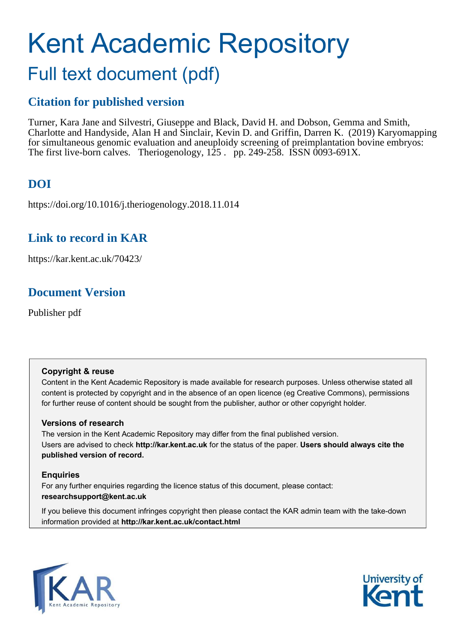# <span id="page-0-0"></span>Kent Academic Repository Full text document (pdf)

# **Citation for published version**

Turner, Kara Jane and Silvestri, Giuseppe and Black, David H. and Dobson, Gemma and Smith, Charlotte and Handyside, Alan H and Sinclair, Kevin D. and Griffin, Darren K. (2019) Karyomapping for simultaneous genomic evaluation and aneuploidy screening of preimplantation bovine embryos: The first live-born calves. Theriogenology, 125 . pp. 249-258. ISSN 0093-691X.

# **DOI**

https://doi.org/10.1016/j.theriogenology.2018.11.014

# **Link to record in KAR**

https://kar.kent.ac.uk/70423/

# **Document Version**

Publisher pdf

### **Copyright & reuse**

Content in the Kent Academic Repository is made available for research purposes. Unless otherwise stated all content is protected by copyright and in the absence of an open licence (eg Creative Commons), permissions for further reuse of content should be sought from the publisher, author or other copyright holder.

### **Versions of research**

The version in the Kent Academic Repository may differ from the final published version. Users are advised to check **http://kar.kent.ac.uk** for the status of the paper. **Users should always cite the published version of record.**

### **Enquiries**

For any further enquiries regarding the licence status of this document, please contact: **researchsupport@kent.ac.uk**

If you believe this document infringes copyright then please contact the KAR admin team with the take-down information provided at **http://kar.kent.ac.uk/contact.html**



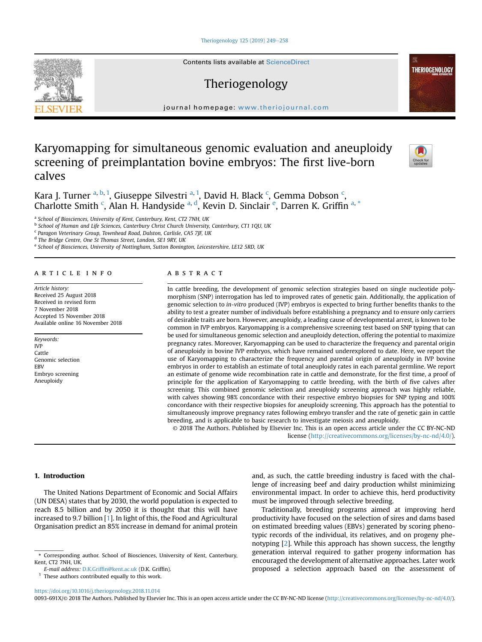[Theriogenology 125 \(2019\) 249](https://doi.org/10.1016/j.theriogenology.2018.11.014)-[258](https://doi.org/10.1016/j.theriogenology.2018.11.014)



Contents lists available at [ScienceDirect](www.sciencedirect.com/science/journal/0093691X)

## Theriogenology

journal homepage: <www.theriojournal.com>

### Karyomapping for simultaneous genomic evaluation and aneuploidy screening of preimplantation bovine embryos: The first live-born calves



**THERIOGENOLOGY** 

K[a](#page-0-0)ra J. Turner <sup>a, [b](#page-0-0), [1](#page-0-0)</sup>, Giuseppe Silvestri <sup>a, 1</sup>, David H. Bla[c](#page-0-0)k <sup>c</sup>, Gemma Dobson <sup>c</sup>, Charlotte Smith<sup>[c](#page-0-0)</sup>, Al[a](#page-0-0)n H. Han[d](#page-0-0)ysid[e](#page-0-0) <sup>a, d</sup>, Kevin D. Sinclair<sup>e</sup>, Darren K. Griffin<sup>a,[\\*](#page-0-0)</sup>

a *School of Biosciences, University of Kent, Canterbury, Kent, CT2 7NH, UK*

b *School of Human and Life Sciences, Canterbury Christ Church University, Canterbury, CT1 1QU, UK*

<sup>c</sup> Paragon Veterinary Group, Townhead Road, Dalston, Carlisle, CA5 7JF, UK

d *The Bridge Centre, One St Thomas Street, London, SE1 9RY, UK*

e *School of Biosciences, University of Nottingham, Sutton Bonington, Leicestershire, LE12 5RD, UK*

#### article info

*Article history:* Received 25 August 2018 Received in revised form 7 November 2018 Accepted 15 November 2018 Available online 16 November 2018

*Keywords:* IVP Cattle Genomic selection EBV Embryo screening Aneuploidy

#### **ABSTRACT**

In cattle breeding, the development of genomic selection strategies based on single nucleotide polymorphism (SNP) interrogation has led to improved rates of genetic gain. Additionally, the application of genomic selection to *in-vitro* produced (IVP) embryos is expected to bring further benefits thanks to the ability to test a greater number of individuals before establishing a pregnancy and to ensure only carriers of desirable traits are born. However, aneuploidy, a leading cause of developmental arrest, is known to be common in IVP embryos. Karyomapping is a comprehensive screening test based on SNP typing that can be used for simultaneous genomic selection and aneuploidy detection, offering the potential to maximize pregnancy rates. Moreover, Karyomapping can be used to characterize the frequency and parental origin of aneuploidy in bovine IVP embryos, which have remained underexplored to date. Here, we report the use of Karyomapping to characterize the frequency and parental origin of aneuploidy in IVP bovine embryos in order to establish an estimate of total aneuploidy rates in each parental germline. We report an estimate of genome wide recombination rate in cattle and demonstrate, for the first time, a proof of principle for the application of Karyomapping to cattle breeding, with the birth of five calves after screening. This combined genomic selection and aneuploidy screening approach was highly reliable, with calves showing 98% concordance with their respective embryo biopsies for SNP typing and 100% concordance with their respective biopsies for aneuploidy screening. This approach has the potential to simultaneously improve pregnancy rates following embryo transfer and the rate of genetic gain in cattle breeding, and is applicable to basic research to investigate meiosis and aneuploidy. © 2018 The Authors. Published by Elsevier Inc. This is an open access article under the CC BY-NC-ND

license [\(http://creativecommons.org/licenses/by-nc-nd/4.0/](http://creativecommons.org/licenses/by-nc-nd/4.0/)).

#### 1. Introduction

The United Nations Department of Economic and Social Affairs (UN DESA) states that by 2030, the world population is expected to reach 8.5 billion and by 2050 it is thought that this will have increased to 9.7 billion [[1\]](#page-8-0). In light of this, the Food and Agricultural Organisation predict an 85% increase in demand for animal protein

<https://doi.org/10.1016/j.theriogenology.2018.11.014>

and, as such, the cattle breeding industry is faced with the challenge of increasing beef and dairy production whilst minimizing environmental impact. In order to achieve this, herd productivity must be improved through selective breeding.

Traditionally, breeding programs aimed at improving herd productivity have focused on the selection of sires and dams based on estimated breeding values (EBVs) generated by scoring phenotypic records of the individual, its relatives, and on progeny phenotyping [\[2\]](#page-8-0). While this approach has shown success, the lengthy generation interval required to gather progeny information has encouraged the development of alternative approaches. Later work proposed a selection approach based on the assessment of

0093-691X/© 2018 The Authors. Published by Elsevier Inc. This is an open access article under the CC BY-NC-ND license ([http://creativecommons.org/licenses/by-nc-nd/4.0/\)](http://creativecommons.org/licenses/by-nc-nd/4.0/).

<sup>\*</sup> Corresponding author. School of Biosciences, University of Kent, Canterbury, Kent, CT2 7NH, UK.

*E-mail address:* D.K.Griffi[n@kent.ac.uk](mailto:D.K.Griffin@kent.ac.uk) (D.K. Griffin).

 $<sup>1</sup>$  These authors contributed equally to this work.</sup>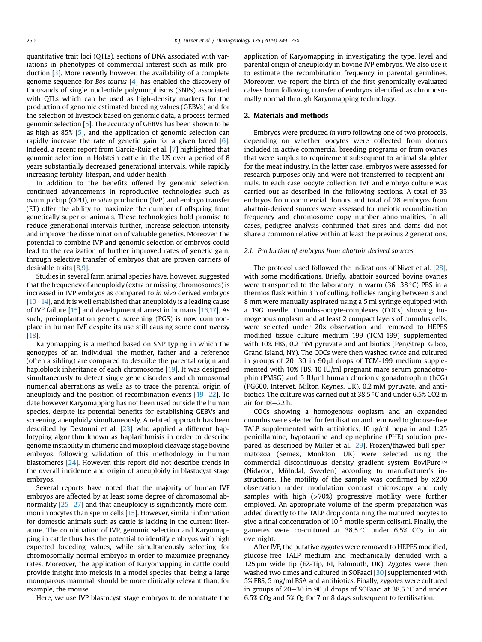quantitative trait loci (QTLs), sections of DNA associated with variations in phenotypes of commercial interest such as milk production [\[3](#page-8-0)]. More recently however, the availability of a complete genome sequence for *Bos taurus* [[4](#page-8-0)] has enabled the discovery of thousands of single nucleotide polymorphisms (SNPs) associated with QTLs which can be used as high-density markers for the production of genomic estimated breeding values (GEBVs) and for the selection of livestock based on genomic data, a process termed genomic selection [[5](#page-8-0)]. The accuracy of GEBVs has been shown to be as high as 85% [\[5\]](#page-8-0), and the application of genomic selection can rapidly increase the rate of genetic gain for a given breed [\[6](#page-8-0)]. Indeed, a recent report from Garcia-Ruiz et al. [[7](#page-8-0)] highlighted that genomic selection in Holstein cattle in the US over a period of 8 years substantially decreased generational intervals, while rapidly increasing fertility, lifespan, and udder health.

In addition to the benefits offered by genomic selection, continued advancements in reproductive technologies such as ovum pickup (OPU), *in vitro* production (IVP) and embryo transfer (ET) offer the ability to maximize the number of offspring from genetically superior animals. These technologies hold promise to reduce generational intervals further, increase selection intensity and improve the dissemination of valuable genetics. Moreover, the potential to combine IVP and genomic selection of embryos could lead to the realization of further improved rates of genetic gain, through selective transfer of embryos that are proven carriers of desirable traits [[8,9\]](#page-8-0).

Studies in several farm animal species have, however, suggested that the frequency of aneuploidy (extra or missing chromosomes) is increased in IVP embryos as compared to *in vivo* derived embryos  $[10-14]$  $[10-14]$  $[10-14]$  $[10-14]$ , and it is well established that aneuploidy is a leading cause of IVF failure [\[15](#page-8-0)] and developmental arrest in humans [\[16,17](#page-8-0)]. As such, preimplantation genetic screening (PGS) is now commonplace in human IVF despite its use still causing some controversy [[18\]](#page-8-0).

Karyomapping is a method based on SNP typing in which the genotypes of an individual, the mother, father and a reference (often a sibling) are compared to describe the parental origin and haploblock inheritance of each chromosome [[19\]](#page-8-0). It was designed simultaneously to detect single gene disorders and chromosomal numerical aberrations as wells as to trace the parental origin of aneuploidy and the position of recombination events  $[19-22]$  $[19-22]$  $[19-22]$  $[19-22]$  $[19-22]$ . To date however Karyomapping has not been used outside the human species, despite its potential benefits for establishing GEBVs and screening aneuploidy simultaneously. A related approach has been described by Destouni et al. [[23](#page-8-0)] who applied a different haplotyping algorithm known as haplarithmisis in order to describe genome instability in chimeric and mixoploid cleavage stage bovine embryos, following validation of this methodology in human blastomeres [\[24\]](#page-8-0). However, this report did not describe trends in the overall incidence and origin of aneuploidy in blastocyst stage embryos.

Several reports have noted that the majority of human IVF embryos are affected by at least some degree of chromosomal abnormality  $[25-27]$  $[25-27]$  $[25-27]$  $[25-27]$  and that aneuploidy is significantly more common in oocytes than sperm cells [[15\]](#page-8-0). However, similar information for domestic animals such as cattle is lacking in the current literature. The combination of IVP, genomic selection and Karyomapping in cattle thus has the potential to identify embryos with high expected breeding values, while simultaneously selecting for chromosomally normal embryos in order to maximize pregnancy rates. Moreover, the application of Karyomapping in cattle could provide insight into meiosis in a model species that, being a large monoparous mammal, should be more clinically relevant than, for example, the mouse.

Here, we use IVP blastocyst stage embryos to demonstrate the

application of Karyomapping in investigating the type, level and parental origin of aneuploidy in bovine IVP embryos. We also use it to estimate the recombination frequency in parental germlines. Moreover, we report the birth of the first genomically evaluated calves born following transfer of embryos identified as chromosomally normal through Karyomapping technology.

#### 2. Materials and methods

Embryos were produced *in vitro* following one of two protocols, depending on whether oocytes were collected from donors included in active commercial breeding programs or from ovaries that were surplus to requirement subsequent to animal slaughter for the meat industry. In the latter case, embryos were assessed for research purposes only and were not transferred to recipient animals. In each case, oocyte collection, IVF and embryo culture was carried out as described in the following sections. A total of 33 embryos from commercial donors and total of 28 embryos from abattoir-derived sources were assessed for meiotic recombination frequency and chromosome copy number abnormalities. In all cases, pedigree analysis confirmed that sires and dams did not share a common relative within at least the previous 2 generations.

#### *2.1. Production of embryos from abattoir derived sources*

The protocol used followed the indications of Nivet et al. [[28](#page-9-0)], with some modifications. Briefly, abattoir sourced bovine ovaries were transported to the laboratory in warm (36–38 °C) PBS in a thermos flask within 3 h of culling. Follicles ranging between 3 and 8 mm were manually aspirated using a 5 ml syringe equipped with a 19G needle. Cumulus-oocyte-complexes (COCs) showing homogenous ooplasm and at least 2 compact layers of cumulus cells, were selected under 20x observation and removed to HEPES modified tissue culture medium 199 (TCM-199) supplemented with 10% FBS, 0.2 mM pyruvate and antibiotics (Pen/Strep, Gibco, Grand Island, NY). The COCs were then washed twice and cultured in groups of  $20-30$  in 90  $\mu$ l drops of TCM-199 medium supplemented with 10% FBS, 10 IU/ml pregnant mare serum gonadotrophin (PMSG) and 5 IU/ml human chorionic gonadotrophin (hCG) (PG600, Intervet, Milton Keynes, UK), 0.2 mM pyruvate, and antibiotics. The culture was carried out at 38.5  $\degree$ C and under 6.5% CO2 in air for  $18-22$  h.

COCs showing a homogenous ooplasm and an expanded cumulus were selected for fertilisation and removed to glucose-free TALP supplemented with antibiotics,  $10 \mu g/ml$  heparin and  $1:25$ penicillamine, hypotaurine and epinephrine (PHE) solution prepared as described by Miller et al. [\[29\]](#page-9-0). Frozen/thawed bull spermatozoa (Semex, Monkton, UK) were selected using the commercial discontinuous density gradient system BoviPure™ (Nidacon, Mölndal, Sweden) according to manufacturer's instructions. The motility of the sample was confirmed by x200 observation under modulation contrast microscopy and only samples with high (>70%) progressive motility were further employed. An appropriate volume of the sperm preparation was added directly to the TALP drop containing the matured oocytes to give a final concentration of  $10^5$  motile sperm cells/ml. Finally, the gametes were co-cultured at 38.5 °C under 6.5% CO<sub>2</sub> in air overnight.

After IVF, the putative zygotes were removed to HEPES modified, glucose-free TALP medium and mechanically denuded with a  $125 \mu m$  wide tip (EZ-Tip, RI, Falmouth, UK). Zygotes were then washed two times and cultured in SOFaaci [[30](#page-9-0)] supplemented with 5% FBS, 5 mg/ml BSA and antibiotics. Finally, zygotes were cultured in groups of 20–30 in 90  $\mu$ l drops of SOFaaci at 38.5 °C and under 6.5% CO<sub>2</sub> and 5% O<sub>2</sub> for 7 or 8 days subsequent to fertilisation.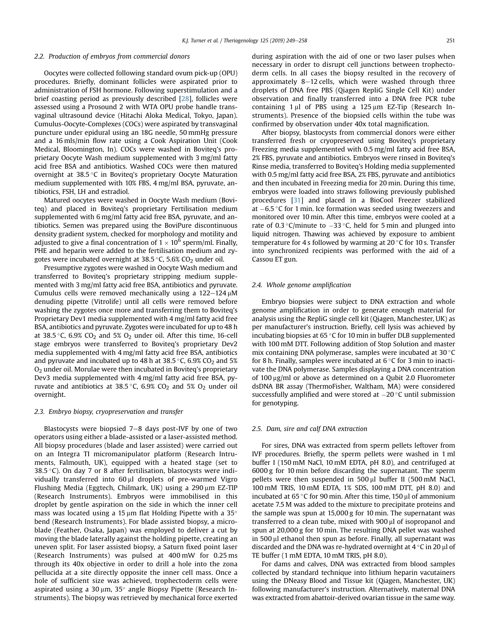#### <span id="page-3-0"></span>*2.2. Production of embryos from commercial donors*

Oocytes were collected following standard ovum pick-up (OPU) procedures. Briefly, dominant follicles were aspirated prior to administration of FSH hormone. Following superstimulation and a brief coasting period as previously described [\[28\]](#page-9-0), follicles were assessed using a Prosound 2 with WTA OPU probe handle transvaginal ultrasound device (Hitachi Aloka Medical, Tokyo, Japan). Cumulus-Oocyte-Complexes (COCs) were aspirated by transvaginal puncture under epidural using an 18G needle, 50 mmHg pressure and a 16 mls/min flow rate using a Cook Aspiration Unit (Cook Medical, Bloomington, In). COCs were washed in Boviteq's proprietary Oocyte Wash medium supplemented with 3 mg/ml fatty acid free BSA and antibiotics. Washed COCs were then matured overnight at 38.5 °C in Boviteq's proprietary Oocyte Maturation medium supplemented with 10% FBS, 4 mg/ml BSA, pyruvate, antibiotics, FSH, LH and estradiol.

Matured oocytes were washed in Oocyte Wash medium (Boviteq) and placed in Boviteq's proprietary Fertilisation medium supplemented with 6 mg/ml fatty acid free BSA, pyruvate, and antibiotics. Semen was prepared using the BoviPure discontinuous density gradient system, checked for morphology and motility and adjusted to give a final concentration of 1  $\times$  10<sup>6</sup> sperm/ml. Finally, PHE and heparin were added to the fertilisation medium and zygotes were incubated overnight at 38.5 °C, 5.6% CO<sub>2</sub> under oil.

Presumptive zygotes were washed in Oocyte Wash medium and transferred to Boviteq's proprietary stripping medium supplemented with 3 mg/ml fatty acid free BSA, antibiotics and pyruvate. Cumulus cells were removed mechanically using a  $122-124$   $\mu$ M denuding pipette (Vitrolife) until all cells were removed before washing the zygotes once more and transferring them to Boviteq's Proprietary Dev1 media supplemented with 4 mg/ml fatty acid free BSA, antibiotics and pyruvate. Zygotes were incubated for up to 48 h at 38.5 °C, 6.9% CO<sub>2</sub> and 5% O<sub>2</sub> under oil. After this time, 16-cell stage embryos were transferred to Boviteq's proprietary Dev2 media supplemented with 4 mg/ml fatty acid free BSA, antibiotics and pyruvate and incubated up to 48 h at 38.5 °C, 6.9% CO<sub>2</sub> and 5%  $O<sub>2</sub>$  under oil. Morulae were then incubated in Boviteq's proprietary Dev3 media supplemented with 4 mg/ml fatty acid free BSA, pyruvate and antibiotics at 38.5 °C, 6.9% CO<sub>2</sub> and 5% O<sub>2</sub> under oil overnight.

#### *2.3. Embryo biopsy, cryopreservation and transfer*

Blastocysts were biopsied  $7-8$  days post-IVF by one of two operators using either a blade-assisted or a laser-assisted method. All biopsy procedures (blade and laser assisted) were carried out on an Integra TI micromanipulator platform (Research Intruments, Falmouth, UK), equipped with a heated stage (set to 38.5 °C). On day 7 or 8 after fertilisation, blastocysts were individually transferred into  $60 \mu l$  droplets of pre-warmed Vigro Flushing Media (Eggtech, Chilmark, UK) using a 290 µm EZ-TIP (Research Instruments). Embryos were immobilised in this droplet by gentle aspiration on the side in which the inner cell mass was located using a 15  $\mu$ m flat Holding Pipette with a 35 $\circ$ bend (Research Instruments). For blade assisted biopsy, a microblade (Feather, Osaka, Japan) was employed to deliver a cut by moving the blade laterally against the holding pipette, creating an uneven split. For laser assisted biopsy, a Saturn fixed point laser (Research Instruments) was pulsed at 400 mW for 0.25 ms through its 40x objective in order to drill a hole into the zona pellucida at a site directly opposite the inner cell mass. Once a hole of sufficient size was achieved, trophectoderm cells were aspirated using a 30  $\mu$ m, 35° angle Biopsy Pipette (Research Instruments). The biopsy was retrieved by mechanical force exerted during aspiration with the aid of one or two laser pulses when necessary in order to disrupt cell junctions between trophectoderm cells. In all cases the biopsy resulted in the recovery of approximately  $8-12$  cells, which were washed through three droplets of DNA free PBS (Qiagen RepliG Single Cell Kit) under observation and finally transferred into a DNA free PCR tube containing  $1 \mu l$  of PBS using a  $125 \mu m$  EZ-Tip (Research Instruments). Presence of the biopsied cells within the tube was confirmed by observation under 40x total magnification.

After biopsy, blastocysts from commercial donors were either transferred fresh or cryopreserved using Boviteq's proprietary Freezing media supplemented with 0.5 mg/ml fatty acid free BSA, 2% FBS, pyruvate and antibiotics. Embryos were rinsed in Boviteq's Rinse media, transferred to Boviteq's Holding media supplemented with 0.5 mg/ml fatty acid free BSA, 2% FBS, pyruvate and antibiotics and then incubated in Freezing media for 20 min. During this time, embryos were loaded into straws following previously published procedures [[31](#page-9-0)] and placed in a BioCool Freezer stabilized at  $-6.5$  °C for 1 min. Ice formation was seeded using tweezers and monitored over 10 min. After this time, embryos were cooled at a rate of 0.3 °C/minute to  $-33$  °C, held for 5 min and plunged into liquid nitrogen. Thawing was achieved by exposure to ambient temperature for 4 s followed by warming at 20  $\degree$ C for 10 s. Transfer into synchronized recipients was performed with the aid of a Cassou ET gun.

#### *2.4. Whole genome ampli*fi*cation*

Embryo biopsies were subject to DNA extraction and whole genome amplification in order to generate enough material for analysis using the RepliG single cell kit (Qiagen, Manchester, UK) as per manufacturer's instruction. Briefly, cell lysis was achieved by incubating biopsies at  $65^{\circ}$ C for 10 min in buffer DLB supplemented with 100 mM DTT. Following addition of Stop Solution and master mix containing DNA polymerase, samples were incubated at  $30^{\circ}$ C for 8 h. Finally, samples were incubated at  $6^{\circ}$ C for 3 min to inactivate the DNA polymerase. Samples displaying a DNA concentration of  $100 \mu g/ml$  or above as determined on a Qubit 2.0 Fluorometer dsDNA BR assay (ThermoFisher, Waltham, MA) were considered successfully amplified and were stored at  $-20$  °C until submission for genotyping.

#### *2.5. Dam, sire and calf DNA extraction*

For sires, DNA was extracted from sperm pellets leftover from IVF procedures. Briefly, the sperm pellets were washed in 1 ml buffer I (150 mM NaCl, 10 mM EDTA, pH 8.0), and centrifuged at 6000 g for 10 min before discarding the supernatant. The sperm pellets were then suspended in 500 µl buffer II (500 mM NaCl, 100 mM TRIS, 10 mM EDTA, 1% SDS, 100 mM DTT, pH 8.0) and incubated at 65 $\degree$ C for 90 min. After this time, 150 µl of ammonium acetate 7.5 M was added to the mixture to precipitate proteins and the sample was spun at 15,000 g for 10 min. The supernatant was transferred to a clean tube, mixed with  $900 \mu$  of isopropanol and spun at 20,000 g for 10 min. The resulting DNA pellet was washed in 500 µl ethanol then spun as before. Finally, all supernatant was discarded and the DNA was re-hydrated overnight at  $4^{\circ}$ C in 20 µl of TE buffer (1 mM EDTA, 10 mM TRIS, pH 8.0).

For dams and calves, DNA was extracted from blood samples collected by standard technique into lithium heparin vacutainers using the DNeasy Blood and Tissue kit (Qiagen, Manchester, UK) following manufacturer's instruction. Alternatively, maternal DNA was extracted from abattoir-derived ovarian tissue in the same way.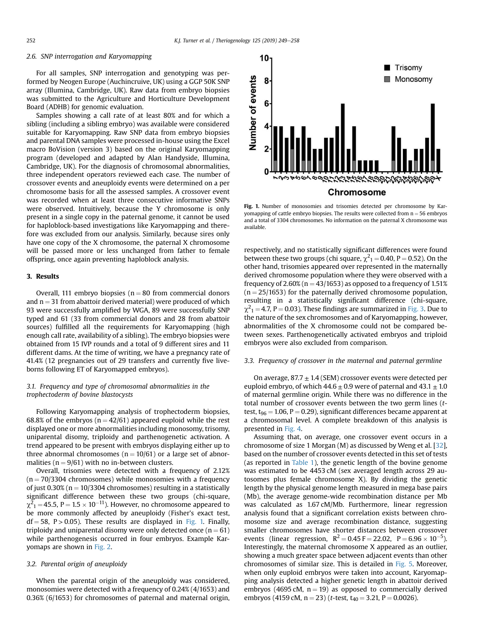#### *2.6. SNP interrogation and Karyomapping*

For all samples, SNP interrogation and genotyping was performed by Neogen Europe (Auchincruive, UK) using a GGP 50K SNP array (Illumina, Cambridge, UK). Raw data from embryo biopsies was submitted to the Agriculture and Horticulture Development Board (ADHB) for genomic evaluation.

Samples showing a call rate of at least 80% and for which a sibling (including a sibling embryo) was available were considered suitable for Karyomapping. Raw SNP data from embryo biopsies and parental DNA samples were processed in-house using the Excel macro BoVision (version 3) based on the original Karyomapping program (developed and adapted by Alan Handyside, Illumina, Cambridge, UK). For the diagnosis of chromosomal abnormalities, three independent operators reviewed each case. The number of crossover events and aneuploidy events were determined on a per chromosome basis for all the assessed samples. A crossover event was recorded when at least three consecutive informative SNPs were observed. Intuitively, because the Y chromosome is only present in a single copy in the paternal genome, it cannot be used for haploblock-based investigations like Karyomapping and therefore was excluded from our analysis. Similarly, because sires only have one copy of the X chromosome, the paternal X chromosome will be passed more or less unchanged from father to female offspring, once again preventing haploblock analysis.

#### 3. Results

Overall, 111 embryo biopsies ( $n = 80$  from commercial donors and  $n = 31$  from abattoir derived material) were produced of which 93 were successfully amplified by WGA, 89 were successfully SNP typed and 61 (33 from commercial donors and 28 from abattoir sources) fulfilled all the requirements for Karyomapping (high enough call rate, availability of a sibling). The embryo biopsies were obtained from 15 IVP rounds and a total of 9 different sires and 11 different dams. At the time of writing, we have a pregnancy rate of 41.4% (12 pregnancies out of 29 transfers and currently five liveborns following ET of Karyomapped embryos).

#### *3.1. Frequency and type of chromosomal abnormalities in the trophectoderm of bovine blastocysts*

Following Karyomapping analysis of trophectoderm biopsies, 68.8% of the embryos ( $n = 42/61$ ) appeared euploid while the rest displayed one or more abnormalities including monosomy, trisomy, uniparental disomy, triploidy and parthenogenetic activation. A trend appeared to be present with embryos displaying either up to three abnormal chromosomes ( $n = 10/61$ ) or a large set of abnormalities ( $n = 9/61$ ) with no in-between clusters.

Overall, trisomies were detected with a frequency of 2.12%  $(n = 70/3304$  chromosomes) while monosomies with a frequency of just 0.30% ( $n = 10/3304$  chromosomes) resulting in a statistically significant difference between these two groups (chi-square,  $\chi^2$ <sub>1</sub> = 45.5, P = 1.5  $\times$  10<sup>-11</sup>). However, no chromosome appeared to be more commonly affected by aneuploidy (Fisher's exact test,  $df = 58$ , P  $> 0.05$ ). These results are displayed in [Fig. 1.](#page-3-0) Finally, triploidy and uniparental disomy were only detected once ( $n = 61$ ) while parthenogenesis occurred in four embryos. Example Karyomaps are shown in Fig. 2.

#### *3.2. Parental origin of aneuploidy*

When the parental origin of the aneuploidy was considered, monosomies were detected with a frequency of 0.24% (4/1653) and 0.36% (6/1653) for chromosomes of paternal and maternal origin,



Fig. 1. Number of monosomies and trisomies detected per chromosome by Karyomapping of cattle embryo biopsies. The results were collected from  $n = 56$  embryos and a total of 3304 chromosomes. No information on the paternal X chromosome was available.

respectively, and no statistically significant differences were found between these two groups (chi square,  $\chi^2{}_1$  = 0.40, P = 0.52). On the other hand, trisomies appeared over represented in the maternally derived chromosome population where they were observed with a frequency of 2.60% ( $n = 43/1653$ ) as opposed to a frequency of 1.51%  $(n = 25/1653)$  for the paternally derived chromosome population, resulting in a statistically significant difference (chi-square,  $\chi^2$ <sub>1</sub> = 4.7, P = 0.03). These findings are summarized in [Fig. 3](#page-5-0). Due to the nature of the sex chromosomes and of Karyomapping, however, abnormalities of the X chromosome could not be compared between sexes. Parthenogenetically activated embryos and triploid embryos were also excluded from comparison.

#### *3.3. Frequency of crossover in the maternal and paternal germline*

On average,  $87.7 \pm 1.4$  (SEM) crossover events were detected per euploid embryo, of which  $44.6 \pm 0.9$  were of paternal and  $43.1 \pm 1.0$ of maternal germline origin. While there was no difference in the total number of crossover events between the two germ lines (*t*test,  $t_{96} = 1.06$ , P = 0.29), significant differences became apparent at a chromosomal level. A complete breakdown of this analysis is presented in [Fig. 4.](#page-5-0)

Assuming that, on average, one crossover event occurs in a chromosome of size 1 Morgan (M) as discussed by Weng et al. [[32](#page-9-0)], based on the number of crossover events detected in this set of tests (as reported in [Table 1\)](#page-6-0), the genetic length of the bovine genome was estimated to be 4453 cM (sex averaged length across 29 autosomes plus female chromosome X). By dividing the genetic length by the physical genome length measured in mega base pairs (Mb), the average genome-wide recombination distance per Mb was calculated as 1.67 cM/Mb. Furthermore, linear regression analysis found that a significant correlation exists between chromosome size and average recombination distance, suggesting smaller chromosomes have shorter distances between crossover events (linear regression,  $R^2 = 0.45 F = 22.02$ ,  $P = 6.96 \times 10^{-5}$ ). Interestingly, the maternal chromosome X appeared as an outlier, showing a much greater space between adjacent events than other chromosomes of similar size. This is detailed in [Fig. 5.](#page-6-0) Moreover, when only euploid embryos were taken into account, Karyomapping analysis detected a higher genetic length in abattoir derived embryos (4695 cM,  $n = 19$ ) as opposed to commercially derived embryos (4159 cM,  $n = 23$ ) (*t*-test,  $t_{40} = 3.21$ ,  $P = 0.0026$ ).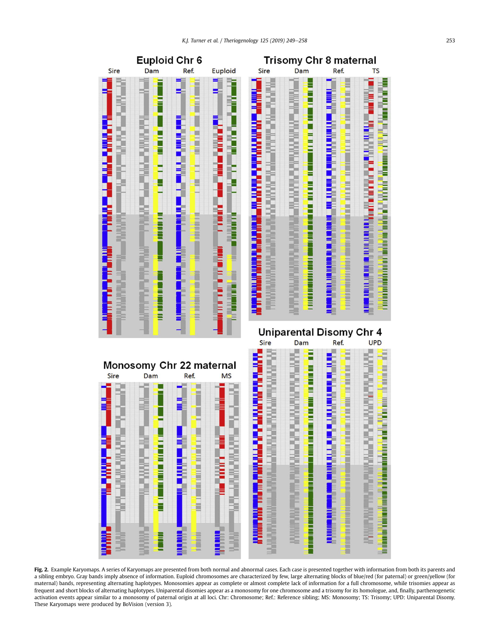<span id="page-5-0"></span>

Fig. 2. Example Karyomaps. A series of Karyomaps are presented from both normal and abnormal cases. Each case is presented together with information from both its parents and a sibling embryo. Gray bands imply absence of information. Euploid chromosomes are characterized by few, large alternating blocks of blue/red (for paternal) or green/yellow (for maternal) bands, representing alternating haplotypes. Monosomies appear as complete or almost complete lack of information for a full chromosome, while trisomies appear as frequent and short blocks of alternating haplotypes. Uniparental disomies appear as a monosomy for one chromosome and a trisomy for its homologue, and, finally, parthenogenetic activation events appear similar to a monosomy of paternal origin at all loci. Chr: Chromosome; Ref.: Reference sibling; MS: Monosomy; TS: Trisomy; UPD: Uniparental Disomy. These Karyomaps were produced by BoVision (version 3).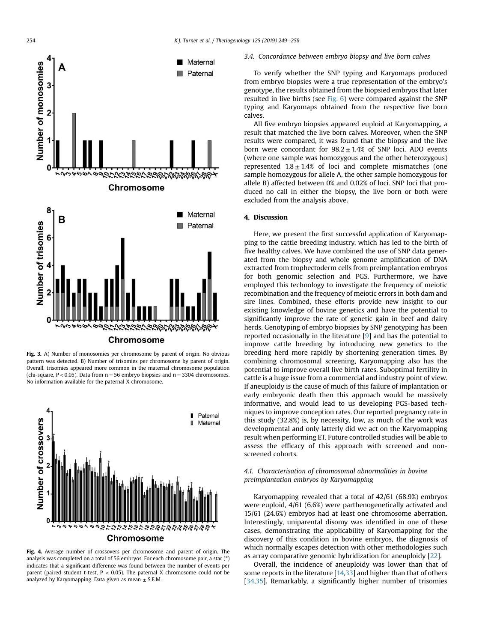<span id="page-6-0"></span>

Fig. 3. A) Number of monosomies per chromosome by parent of origin. No obvious pattern was detected. B) Number of trisomies per chromosome by parent of origin. Overall, trisomies appeared more common in the maternal chromosome population (chi-square, P < 0.05). Data from  $n = 56$  embryo biopsies and  $n = 3304$  chromosomes. No information available for the paternal X chromosome.



Fig. 4. Average number of crossovers per chromosome and parent of origin. The analysis was completed on a total of 56 embryos. For each chromosome pair, a star (\*) indicates that a significant difference was found between the number of events per parent (paired student t-test,  $P < 0.05$ ). The paternal X chromosome could not be analyzed by Karyomapping. Data given as mean  $\pm$  S.E.M.

*3.4. Concordance between embryo biopsy and live born calves*

To verify whether the SNP typing and Karyomaps produced from embryo biopsies were a true representation of the embryo's genotype, the results obtained from the biopsied embryos that later resulted in live births (see Fig. 6) were compared against the SNP typing and Karyomaps obtained from the respective live born calves.

All five embryo biopsies appeared euploid at Karyomapping, a result that matched the live born calves. Moreover, when the SNP results were compared, it was found that the biopsy and the live born were concordant for  $98.2 \pm 1.4$ % of SNP loci. ADO events (where one sample was homozygous and the other heterozygous) represented  $1.8 \pm 1.4\%$  of loci and complete mismatches (one sample homozygous for allele A, the other sample homozygous for allele B) affected between 0% and 0.02% of loci. SNP loci that produced no call in either the biopsy, the live born or both were excluded from the analysis above.

#### 4. Discussion

Here, we present the first successful application of Karyomapping to the cattle breeding industry, which has led to the birth of five healthy calves. We have combined the use of SNP data generated from the biopsy and whole genome amplification of DNA extracted from trophectoderm cells from preimplantation embryos for both genomic selection and PGS. Furthermore, we have employed this technology to investigate the frequency of meiotic recombination and the frequency of meiotic errors in both dam and sire lines. Combined, these efforts provide new insight to our existing knowledge of bovine genetics and have the potential to significantly improve the rate of genetic gain in beef and dairy herds. Genotyping of embryo biopsies by SNP genotyping has been reported occasionally in the literature [\[9\]](#page-8-0) and has the potential to improve cattle breeding by introducing new genetics to the breeding herd more rapidly by shortening generation times. By combining chromosomal screening, Karyomapping also has the potential to improve overall live birth rates. Suboptimal fertility in cattle is a huge issue from a commercial and industry point of view. If aneuploidy is the cause of much of this failure of implantation or early embryonic death then this approach would be massively informative, and would lead to us developing PGS-based techniques to improve conception rates. Our reported pregnancy rate in this study (32.8%) is, by necessity, low, as much of the work was developmental and only latterly did we act on the Karyomapping result when performing ET. Future controlled studies will be able to assess the efficacy of this approach with screened and nonscreened cohorts.

#### *4.1. Characterisation of chromosomal abnormalities in bovine preimplantation embryos by Karyomapping*

Karyomapping revealed that a total of 42/61 (68.9%) embryos were euploid, 4/61 (6.6%) were parthenogenetically activated and 15/61 (24.6%) embryos had at least one chromosome aberration. Interestingly, uniparental disomy was identified in one of these cases, demonstrating the applicability of Karyomapping for the discovery of this condition in bovine embryos, the diagnosis of which normally escapes detection with other methodologies such as array comparative genomic hybridization for aneuploidy [[22](#page-8-0)].

Overall, the incidence of aneuploidy was lower than that of some reports in the literature [\[14](#page-8-0)[,33](#page-9-0)] and higher than that of others [[34,35\]](#page-9-0). Remarkably, a significantly higher number of trisomies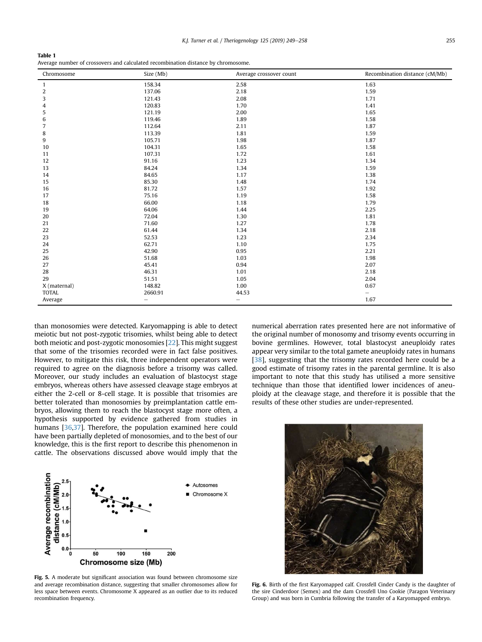| Table 1                                                                           |
|-----------------------------------------------------------------------------------|
| Average number of crossovers and calculated recombination distance by chromosome. |

| Chromosome       | Size (Mb)         | Average crossover count  | Recombination distance (cM/Mb) |
|------------------|-------------------|--------------------------|--------------------------------|
| $\mathbf{1}$     | 158.34            | 2.58                     | 1.63                           |
| $\boldsymbol{2}$ | 137.06            | 2.18                     | 1.59                           |
| 3                | 121.43            | 2.08                     | 1.71                           |
| 4                | 120.83            | 1.70                     | 1.41                           |
| 5                | 121.19            | 2.00                     | 1.65                           |
| 6                | 119.46            | 1.89                     | 1.58                           |
| 7                | 112.64            | 2.11                     | 1.87                           |
| 8                | 113.39            | 1.81                     | 1.59                           |
| 9                | 105.71            | 1.98                     | 1.87                           |
| 10               | 104.31            | 1.65                     | 1.58                           |
| 11               | 107.31            | 1.72                     | 1.61                           |
| 12               | 91.16             | 1.23                     | 1.34                           |
| 13               | 84.24             | 1.34                     | 1.59                           |
| 14               | 84.65             | 1.17                     | 1.38                           |
| 15               | 85.30             | 1.48                     | 1.74                           |
| 16               | 81.72             | 1.57                     | 1.92                           |
| 17               | 75.16             | 1.19                     | 1.58                           |
| 18               | 66.00             | 1.18                     | 1.79                           |
| 19               | 64.06             | 1.44                     | 2.25                           |
| 20               | 72.04             | 1.30                     | 1.81                           |
| 21               | 71.60             | 1.27                     | 1.78                           |
| 22               | 61.44             | 1.34                     | 2.18                           |
| 23               | 52.53             | 1.23                     | 2.34                           |
| 24               | 62.71             | 1.10                     | 1.75                           |
| 25               | 42.90             | 0.95                     | 2.21                           |
| 26               | 51.68             | 1.03                     | 1.98                           |
| 27               | 45.41             | 0.94                     | 2.07                           |
| 28               | 46.31             | 1.01                     | 2.18                           |
| 29               | 51.51             | 1.05                     | 2.04                           |
| X (maternal)     | 148.82            | 1.00                     | 0.67                           |
| <b>TOTAL</b>     | 2660.91           | 44.53                    | $\overline{\phantom{0}}$       |
| Average          | $\qquad \qquad -$ | $\overline{\phantom{0}}$ | 1.67                           |

than monosomies were detected. Karyomapping is able to detect meiotic but not post-zygotic trisomies, whilst being able to detect both meiotic and post-zygotic monosomies [[22](#page-8-0)]. This might suggest that some of the trisomies recorded were in fact false positives. However, to mitigate this risk, three independent operators were required to agree on the diagnosis before a trisomy was called. Moreover, our study includes an evaluation of blastocyst stage embryos, whereas others have assessed cleavage stage embryos at either the 2-cell or 8-cell stage. It is possible that trisomies are better tolerated than monosomies by preimplantation cattle embryos, allowing them to reach the blastocyst stage more often, a hypothesis supported by evidence gathered from studies in humans [\[36,37](#page-9-0)]. Therefore, the population examined here could have been partially depleted of monosomies, and to the best of our knowledge, this is the first report to describe this phenomenon in cattle. The observations discussed above would imply that the



numerical aberration rates presented here are not informative of the original number of monosomy and trisomy events occurring in bovine germlines. However, total blastocyst aneuploidy rates appear very similar to the total gamete aneuploidy rates in humans [\[38\]](#page-9-0), suggesting that the trisomy rates recorded here could be a good estimate of trisomy rates in the parental germline. It is also important to note that this study has utilised a more sensitive technique than those that identified lower incidences of aneuploidy at the cleavage stage, and therefore it is possible that the results of these other studies are under-represented.



Fig. 5. A moderate but significant association was found between chromosome size and average recombination distance, suggesting that smaller chromosomes allow for less space between events. Chromosome X appeared as an outlier due to its reduced recombination frequency.

Fig. 6. Birth of the first Karyomapped calf. Crossfell Cinder Candy is the daughter of the sire Cinderdoor (Semex) and the dam Crossfell Uno Cookie (Paragon Veterinary Group) and was born in Cumbria following the transfer of a Karyomapped embryo.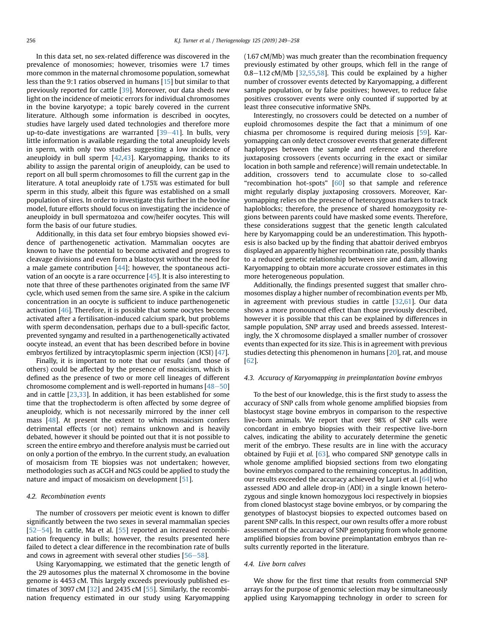<span id="page-8-0"></span>In this data set, no sex-related difference was discovered in the prevalence of monosomies; however, trisomies were 1.7 times more common in the maternal chromosome population, somewhat less than the 9:1 ratios observed in humans [15] but similar to that previously reported for cattle [[39\]](#page-9-0). Moreover, our data sheds new light on the incidence of meiotic errors for individual chromosomes in the bovine karyotype; a topic barely covered in the current literature. Although some information is described in oocytes, studies have largely used dated technologies and therefore more up-to-date investigations are warranted  $[39-41]$  $[39-41]$  $[39-41]$ . In bulls, very little information is available regarding the total aneuploidy levels in sperm, with only two studies suggesting a low incidence of aneuploidy in bull sperm  $[42,43]$  $[42,43]$ . Karyomapping, thanks to its ability to assign the parental origin of aneuploidy, can be used to report on all bull sperm chromosomes to fill the current gap in the literature. A total aneuploidy rate of 1.75% was estimated for bull sperm in this study, albeit this figure was established on a small population of sires. In order to investigate this further in the bovine model, future efforts should focus on investigating the incidence of aneuploidy in bull spermatozoa and cow/heifer oocytes. This will form the basis of our future studies.

Additionally, in this data set four embryo biopsies showed evidence of parthenogenetic activation. Mammalian oocytes are known to have the potential to become activated and progress to cleavage divisions and even form a blastocyst without the need for a male gamete contribution [\[44\]](#page-9-0); however, the spontaneous activation of an oocyte is a rare occurrence [\[45\]](#page-9-0). It is also interesting to note that three of these parthenotes originated from the same IVF cycle, which used semen from the same sire. A spike in the calcium concentration in an oocyte is sufficient to induce parthenogenetic activation [\[46\]](#page-9-0). Therefore, it is possible that some oocytes become activated after a fertilisation-induced calcium spark, but problems with sperm decondensation, perhaps due to a bull-specific factor, prevented syngamy and resulted in a parthenogenetically activated oocyte instead, an event that has been described before in bovine embryos fertilized by intracytoplasmic sperm injection (ICSI) [\[47](#page-9-0)].

Finally, it is important to note that our results (and those of others) could be affected by the presence of mosaicism, which is defined as the presence of two or more cell lineages of different chromosome complement and is well-reported in humans  $[48-50]$  $[48-50]$  $[48-50]$  $[48-50]$ and in cattle [23[,33\]](#page-9-0). In addition, it has been established for some time that the trophectoderm is often affected by some degree of aneuploidy, which is not necessarily mirrored by the inner cell mass [[48](#page-9-0)]. At present the extent to which mosaicism confers detrimental effects (or not) remains unknown and is heavily debated, however it should be pointed out that it is not possible to screen the entire embryo and therefore analysis must be carried out on only a portion of the embryo. In the current study, an evaluation of mosaicism from TE biopsies was not undertaken; however, methodologies such as aCGH and NGS could be applied to study the nature and impact of mosaicism on development [[51\]](#page-9-0).

#### *4.2. Recombination events*

The number of crossovers per meiotic event is known to differ significantly between the two sexes in several mammalian species [[52](#page-9-0)–[54\]](#page-9-0). In cattle, Ma et al. [\[55\]](#page-9-0) reported an increased recombination frequency in bulls; however, the results presented here failed to detect a clear difference in the recombination rate of bulls and cows in agreement with several other studies  $[56-58]$  $[56-58]$  $[56-58]$  $[56-58]$  $[56-58]$ .

Using Karyomapping, we estimated that the genetic length of the 29 autosomes plus the maternal X chromosome in the bovine genome is 4453 cM. This largely exceeds previously published estimates of 3097 cM [[32](#page-9-0)] and 2435 cM [\[55\]](#page-9-0). Similarly, the recombination frequency estimated in our study using Karyomapping (1.67 cM/Mb) was much greater than the recombination frequency previously estimated by other groups, which fell in the range of  $0.8-1.12$  cM/Mb [\[32,55,58](#page-9-0)]. This could be explained by a higher number of crossover events detected by Karyomapping, a different sample population, or by false positives; however, to reduce false positives crossover events were only counted if supported by at least three consecutive informative SNPs.

Interestingly, no crossovers could be detected on a number of euploid chromosomes despite the fact that a minimum of one chiasma per chromosome is required during meiosis [[59\]](#page-9-0). Karyomapping can only detect crossover events that generate different haplotypes between the sample and reference and therefore juxtaposing crossovers (events occurring in the exact or similar location in both sample and reference) will remain undetectable. In addition, crossovers tend to accumulate close to so-called "recombination hot-spots" [\[60\]](#page-9-0) so that sample and reference might regularly display juxtaposing crossovers. Moreover, Karyomapping relies on the presence of heterozygous markers to track haploblocks; therefore, the presence of shared homozygosity regions between parents could have masked some events. Therefore, these considerations suggest that the genetic length calculated here by Karyomapping could be an underestimation. This hypothesis is also backed up by the finding that abattoir derived embryos displayed an apparently higher recombination rate, possibly thanks to a reduced genetic relationship between sire and dam, allowing Karyomapping to obtain more accurate crossover estimates in this more heterogeneous population.

Additionally, the findings presented suggest that smaller chromosomes display a higher number of recombination events per Mb, in agreement with previous studies in cattle [\[32,61\]](#page-9-0). Our data shows a more pronounced effect than those previously described, however it is possible that this can be explained by differences in sample population, SNP array used and breeds assessed. Interestingly, the X chromosome displayed a smaller number of crossover events than expected for its size. This is in agreement with previous studies detecting this phenomenon in humans [20], rat, and mouse [[62](#page-9-0)].

#### *4.3. Accuracy of Karyomapping in preimplantation bovine embryos*

To the best of our knowledge, this is the first study to assess the accuracy of SNP calls from whole genome amplified biopsies from blastocyst stage bovine embryos in comparison to the respective live-born animals. We report that over 98% of SNP calls were concordant in embryo biopsies with their respective live-born calves, indicating the ability to accurately determine the genetic merit of the embryo. These results are in line with the accuracy obtained by Fujii et *al.* [\[63\]](#page-9-0), who compared SNP genotype calls in whole genome amplified biopsied sections from two elongating bovine embryos compared to the remaining conceptus. In addition, our results exceeded the accuracy achieved by Lauri et al. [[64](#page-9-0)] who assessed ADO and allele drop-in (ADI) in a single known heterozygous and single known homozygous loci respectively in biopsies from cloned blastocyst stage bovine embryos, or by comparing the genotypes of blastocyst biopsies to expected outcomes based on parent SNP calls. In this respect, our own results offer a more robust assessment of the accuracy of SNP genotyping from whole genome amplified biopsies from bovine preimplantation embryos than results currently reported in the literature.

#### *4.4. Live born calves*

We show for the first time that results from commercial SNP arrays for the purpose of genomic selection may be simultaneously applied using Karyomapping technology in order to screen for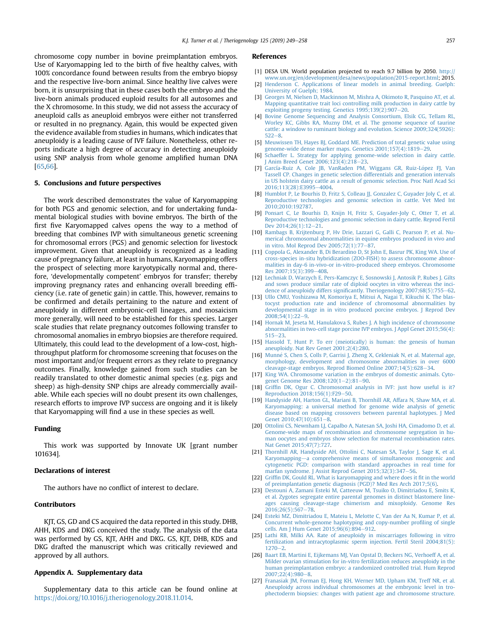<span id="page-9-0"></span>chromosome copy number in bovine preimplantation embryos. Use of Karyomapping led to the birth of five healthy calves, with 100% concordance found between results from the embryo biopsy and the respective live-born animal. Since healthy live calves were born, it is unsurprising that in these cases both the embryo and the live-born animals produced euploid results for all autosomes and the X chromosome. In this study, we did not assess the accuracy of aneuploid calls as aneuploid embryos were either not transferred or resulted in no pregnancy. Again, this would be expected given the evidence available from studies in humans, which indicates that aneuploidy is a leading cause of IVF failure. Nonetheless, other reports indicate a high degree of accuracy in detecting aneuploidy using SNP analysis from whole genome amplified human DNA [65,66].

#### 5. Conclusions and future perspectives

The work described demonstrates the value of Karyomapping for both PGS and genomic selection, and for undertaking fundamental biological studies with bovine embryos. The birth of the first five Karyomapped calves opens the way to a method of breeding that combines IVP with simultaneous genetic screening for chromosomal errors (PGS) and genomic selection for livestock improvement. Given that aneuploidy is recognized as a leading cause of pregnancy failure, at least in humans, Karyomapping offers the prospect of selecting more karyotypically normal and, therefore, 'developmentally competent' embryos for transfer; thereby improving pregnancy rates and enhancing overall breeding efficiency (i.e. rate of genetic gain) in cattle. This, however, remains to be confirmed and details pertaining to the nature and extent of aneuploidy in different embryonic-cell lineages, and mosaicism more generally, will need to be established for this species. Larger scale studies that relate pregnancy outcomes following transfer to chromosomal anomalies in embryo biopsies are therefore required. Ultimately, this could lead to the development of a low-cost, highthroughput platform for chromosome screening that focuses on the most important and/or frequent errors as they relate to pregnancy outcomes. Finally, knowledge gained from such studies can be readily translated to other domestic animal species (e.g. pigs and sheep) as high-density SNP chips are already commercially available. While each species will no doubt present its own challenges, research efforts to improve IVP success are ongoing and it is likely that Karyomapping will find a use in these species as well.

#### Funding

This work was supported by Innovate UK [grant number 101634].

#### Declarations of interest

The authors have no conflict of interest to declare.

#### Contributors

KJT, GS, GD and CS acquired the data reported in this study. DHB, AHH, KDS and DKG conceived the study. The analysis of the data was performed by GS, KJT, AHH and DKG. GS, KJT, DHB, KDS and DKG drafted the manuscript which was critically reviewed and approved by all authors.

#### Appendix A. Supplementary data

Supplementary data to this article can be found online at <https://doi.org/10.1016/j.theriogenology.2018.11.014>.

#### References

- [1] DESA UN. World population projected to reach 9.7 billion by 2050. [http://](http://www.un.org/en/development/desa/news/population/2015-report.html) [www.un.org/en/development/desa/news/population/2015-report.html;](http://www.un.org/en/development/desa/news/population/2015-report.html) 2015.
- [2] [Henderson C. Applications of linear models in animal breeding. Guelph:](http://refhub.elsevier.com/S0093-691X(18)30717-9/sref2) [University of Guelph; 1984](http://refhub.elsevier.com/S0093-691X(18)30717-9/sref2).
- [3] [Georges M, Nielsen D, Mackinnon M, Mishra A, Okimoto R, Pasquino AT, et al.](http://refhub.elsevier.com/S0093-691X(18)30717-9/sref3) [Mapping quantitative trait loci controlling milk production in dairy cattle by](http://refhub.elsevier.com/S0093-691X(18)30717-9/sref3) [exploiting progeny testing. Genetics 1995;139\(2\):907](http://refhub.elsevier.com/S0093-691X(18)30717-9/sref3)-[20.](http://refhub.elsevier.com/S0093-691X(18)30717-9/sref3)
- [4] [Bovine Genome Sequencing and Analysis Consortium, Elsik CG, Tellam RL,](http://refhub.elsevier.com/S0093-691X(18)30717-9/sref4) [Worley KC, Gibbs RA, Muzny DM, et al. The genome sequence of taurine](http://refhub.elsevier.com/S0093-691X(18)30717-9/sref4) [cattle: a window to ruminant biology and evolution. Science 2009;324\(5926\):](http://refhub.elsevier.com/S0093-691X(18)30717-9/sref4)  $522 - 8$  $522 - 8$
- [5] [Meuwissen TH, Hayes BJ, Goddard ME. Prediction of total genetic value using](http://refhub.elsevier.com/S0093-691X(18)30717-9/sref5) [genome-wide dense marker maps. Genetics 2001;157\(4\):1819](http://refhub.elsevier.com/S0093-691X(18)30717-9/sref5)-[29](http://refhub.elsevier.com/S0093-691X(18)30717-9/sref5).
- [6] [Schaeffer L. Strategy for applying genome-wide selection in dairy cattle.](http://refhub.elsevier.com/S0093-691X(18)30717-9/sref6) I Anim Breed Genet 2006:123(4):218-[23.](http://refhub.elsevier.com/S0093-691X(18)30717-9/sref6)
- [7] [García-Ruiz A, Cole JB, VanRaden PM, Wiggans GR, Ruiz-L](http://refhub.elsevier.com/S0093-691X(18)30717-9/sref7)ó[pez FJ, Van](http://refhub.elsevier.com/S0093-691X(18)30717-9/sref7) [Tassell CP. Changes in genetic selection differentials and generation intervals](http://refhub.elsevier.com/S0093-691X(18)30717-9/sref7) [in US holstein dairy cattle as a result of genomic selection. Proc Natl Acad Sci](http://refhub.elsevier.com/S0093-691X(18)30717-9/sref7) 2016:113(28):E3995-[4004](http://refhub.elsevier.com/S0093-691X(18)30717-9/sref7)
- [8] [Humblot P, Le Bourhis D, Fritz S, Colleau JJ, Gonzalez C, Guyader Joly C, et al.](http://refhub.elsevier.com/S0093-691X(18)30717-9/sref8) [Reproductive technologies and genomic selection in cattle. Vet Med Int](http://refhub.elsevier.com/S0093-691X(18)30717-9/sref8) [2010;2010:192787](http://refhub.elsevier.com/S0093-691X(18)30717-9/sref8).
- [9] [Ponsart C, Le Bourhis D, Knijn H, Fritz S, Guyader-Joly C, Otter T, et al.](http://refhub.elsevier.com/S0093-691X(18)30717-9/sref9) [Reproductive technologies and genomic selection in dairy cattle. Reprod Fertil](http://refhub.elsevier.com/S0093-691X(18)30717-9/sref9) Dev  $2014:26(1):12-21$  $2014:26(1):12-21$ .
- [10] [Rambags B, Krijtenburg P, Hv Drie, Lazzari G, Galli C, Pearson P, et al. Nu](http://refhub.elsevier.com/S0093-691X(18)30717-9/sref10)[merical chromosomal abnormalities in equine embryos produced in vivo and](http://refhub.elsevier.com/S0093-691X(18)30717-9/sref10) in vitro. Mol Reprod Dev  $2005;72(1):77-87$  $2005;72(1):77-87$ .
- [11] [Coppola G, Alexander B, Di Berardino D, St John E, Basrur PK, King WA. Use of](http://refhub.elsevier.com/S0093-691X(18)30717-9/sref11) [cross-species in-situ hybridization \(ZOO-FISH\) to assess chromosome abnor](http://refhub.elsevier.com/S0093-691X(18)30717-9/sref11)[malities in day-6 in-vivo-or in-vitro-produced sheep embryos. Chromosome](http://refhub.elsevier.com/S0093-691X(18)30717-9/sref11) [Res 2007;15\(3\):399](http://refhub.elsevier.com/S0093-691X(18)30717-9/sref11)-[408](http://refhub.elsevier.com/S0093-691X(18)30717-9/sref11).
- [12] [Lechniak D, Warzych E, Pers-Kamczyc E, Sosnowski J, Antosik P, Rubes J. Gilts](http://refhub.elsevier.com/S0093-691X(18)30717-9/sref12) [and sows produce similar rate of diploid oocytes in vitro whereas the inci](http://refhub.elsevier.com/S0093-691X(18)30717-9/sref12)dence of aneuploidy differs signifi[cantly. Theriogenology 2007;68\(5\):755](http://refhub.elsevier.com/S0093-691X(18)30717-9/sref12)-[62](http://refhub.elsevier.com/S0093-691X(18)30717-9/sref12).
- [13] [Ullo CMU, Yoshizawa M, Komoriya E, Mitsui A, Nagai T, Kikuchi K. The blas](http://refhub.elsevier.com/S0093-691X(18)30717-9/sref13)[tocyst production rate and incidence of chromosomal abnormalities by](http://refhub.elsevier.com/S0093-691X(18)30717-9/sref13) [developmental stage in in vitro produced porcine embryos. J Reprod Dev](http://refhub.elsevier.com/S0093-691X(18)30717-9/sref13)  $2008:54(1):22-9.$  $2008:54(1):22-9.$  $2008:54(1):22-9.$
- [14] [Hornak M, Jeseta M, Hanulakova S, Rubes J. A high incidence of chromosome](http://refhub.elsevier.com/S0093-691X(18)30717-9/sref14) [abnormalities in two-cell stage porcine IVP embryos. J Appl Genet 2015;56\(4\):](http://refhub.elsevier.com/S0093-691X(18)30717-9/sref14)  $515 - 23.$  $515 - 23.$  $515 - 23.$
- [15] [Hassold T, Hunt P. To err \(meiotically\) is human: the genesis of human](http://refhub.elsevier.com/S0093-691X(18)30717-9/sref15) [aneuploidy. Nat Rev Genet 2001;2\(4\):280](http://refhub.elsevier.com/S0093-691X(18)30717-9/sref15).
- [16] Munné S, Chen S, Colls P, Garrisi J, Zheng X, Cekleniak N, et al. Maternal age, [morphology, development and chromosome abnormalities in over 6000](http://refhub.elsevier.com/S0093-691X(18)30717-9/sref16) [cleavage-stage embryos. Reprod Biomed Online 2007;14\(5\):628](http://refhub.elsevier.com/S0093-691X(18)30717-9/sref16)-[34.](http://refhub.elsevier.com/S0093-691X(18)30717-9/sref16)
- [17] [King WA. Chromosome variation in the embryos of domestic animals. Cyto](http://refhub.elsevier.com/S0093-691X(18)30717-9/sref17)[genet Genome Res 2008;120\(1](http://refhub.elsevier.com/S0093-691X(18)30717-9/sref17)-[2\):81](http://refhub.elsevier.com/S0093-691X(18)30717-9/sref17)-[90.](http://refhub.elsevier.com/S0093-691X(18)30717-9/sref17)
- [18] Griffi[n DK, Ogur C. Chromosomal analysis in IVF: just how useful is it?](http://refhub.elsevier.com/S0093-691X(18)30717-9/sref18) [Reproduction 2018;156\(1\):F29](http://refhub.elsevier.com/S0093-691X(18)30717-9/sref18)-[50](http://refhub.elsevier.com/S0093-691X(18)30717-9/sref18).
- [19] [Handyside AH, Harton GL, Mariani B, Thornhill AR, Affara N, Shaw MA, et al.](http://refhub.elsevier.com/S0093-691X(18)30717-9/sref19) [Karyomapping: a universal method for genome wide analysis of genetic](http://refhub.elsevier.com/S0093-691X(18)30717-9/sref19) [disease based on mapping crossovers between parental haplotypes. J Med](http://refhub.elsevier.com/S0093-691X(18)30717-9/sref19) [Genet 2010;47\(10\):651](http://refhub.elsevier.com/S0093-691X(18)30717-9/sref19)-[8.](http://refhub.elsevier.com/S0093-691X(18)30717-9/sref19)
- [20] [Ottolini CS, Newnham LJ, Capalbo A, Natesan SA, Joshi HA, Cimadomo D, et al.](http://refhub.elsevier.com/S0093-691X(18)30717-9/sref20) [Genome-wide maps of recombination and chromosome segregation in hu](http://refhub.elsevier.com/S0093-691X(18)30717-9/sref20)[man oocytes and embryos show selection for maternal recombination rates.](http://refhub.elsevier.com/S0093-691X(18)30717-9/sref20) [Nat Genet 2015;47\(7\):727](http://refhub.elsevier.com/S0093-691X(18)30717-9/sref20).
- [21] [Thornhill AR, Handyside AH, Ottolini C, Natesan SA, Taylor J, Sage K, et al.](http://refhub.elsevier.com/S0093-691X(18)30717-9/sref21) [Karyomapping](http://refhub.elsevier.com/S0093-691X(18)30717-9/sref21)-[a comprehensive means of simultaneous monogenic and](http://refhub.elsevier.com/S0093-691X(18)30717-9/sref21) [cytogenetic PGD: comparison with standard approaches in real time for](http://refhub.elsevier.com/S0093-691X(18)30717-9/sref21) marfan syndrome. J Assist Reprod Genet  $2015;32(3):347-56$ .
- [22] Griffi[n DK, Gould RL. What is karyomapping and where does it](http://refhub.elsevier.com/S0093-691X(18)30717-9/sref22) fit in the world [of preimplantation genetic diagnosis \(PGD\)? Med Res Arch 2017;5\(6\)](http://refhub.elsevier.com/S0093-691X(18)30717-9/sref22).
- [23] [Destouni A, Zamani Esteki M, Catteeuw M, Tsuiko O, Dimitriadou E, Smits K,](http://refhub.elsevier.com/S0093-691X(18)30717-9/sref23) [et al. Zygotes segregate entire parental genomes in distinct blastomere line](http://refhub.elsevier.com/S0093-691X(18)30717-9/sref23)[ages causing cleavage-stage chimerism and mixoploidy. Genome Res](http://refhub.elsevier.com/S0093-691X(18)30717-9/sref23) 2016:26(5):567-[78.](http://refhub.elsevier.com/S0093-691X(18)30717-9/sref23)
- [24] [Esteki MZ, Dimitriadou E, Mateiu L, Melotte C, Van der Aa N, Kumar P, et al.](http://refhub.elsevier.com/S0093-691X(18)30717-9/sref24) [Concurrent whole-genome haplotyping and copy-number pro](http://refhub.elsevier.com/S0093-691X(18)30717-9/sref24)filing of single cells. Am J Hum Genet 2015:96(6):894-[912.](http://refhub.elsevier.com/S0093-691X(18)30717-9/sref24)
- [25] [Lathi RB, Milki AA. Rate of aneuploidy in miscarriages following in vitro](http://refhub.elsevier.com/S0093-691X(18)30717-9/sref25) [fertilization and intracytoplasmic sperm injection. Fertil Steril 2004;81\(5\):](http://refhub.elsevier.com/S0093-691X(18)30717-9/sref25)  $1270 - 2.$  $1270 - 2.$  $1270 - 2.$
- [26] [Baart EB, Martini E, Eijkemans MJ, Van Opstal D, Beckers NG, Verhoeff A, et al.](http://refhub.elsevier.com/S0093-691X(18)30717-9/sref26) [Milder ovarian stimulation for in-vitro fertilization reduces aneuploidy in the](http://refhub.elsevier.com/S0093-691X(18)30717-9/sref26) [human preimplantation embryo: a randomized controlled trial. Hum Reprod](http://refhub.elsevier.com/S0093-691X(18)30717-9/sref26)  $2007:22(4):980-8.$  $2007:22(4):980-8.$
- [27] [Franasiak JM, Forman EJ, Hong KH, Werner MD, Upham KM, Treff NR, et al.](http://refhub.elsevier.com/S0093-691X(18)30717-9/sref27) [Aneuploidy across individual chromosomes at the embryonic level in tro](http://refhub.elsevier.com/S0093-691X(18)30717-9/sref27)[phectoderm biopsies: changes with patient age and chromosome structure.](http://refhub.elsevier.com/S0093-691X(18)30717-9/sref27)